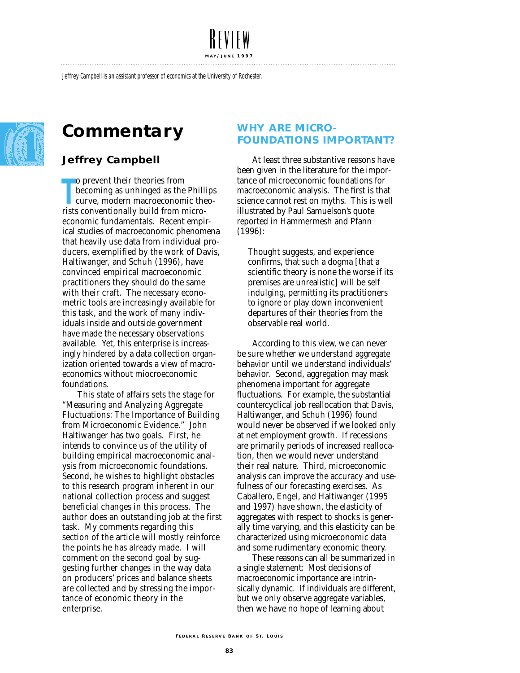**M AY / JUNE 1997**

Jeffrey Campbell is an assistant professor of economics at the University of Rochester.



# **Commentary**

# **Jeffrey Campbell**

**The propertionally becoming as unhinged as the Phill<br>
curve, modern macroeconomic the<br>
rists conventionally build from micro**o prevent their theories from becoming as unhinged as the Phillips curve, modern macroeconomic theoeconomic fundamentals. Recent empirical studies of macroeconomic phenomena that heavily use data from individual producers, exemplified by the work of Davis, Haltiwanger, and Schuh (1996), have convinced empirical macroeconomic practitioners they should do the same with their craft. The necessary econometric tools are increasingly available for this task, and the work of many individuals inside and outside government have made the necessary observations available. Yet, this enterprise is increasingly hindered by a data collection organization oriented towards a view of macroeconomics without miocroeconomic foundations.

This state of affairs sets the stage for "Measuring and Analyzing Aggregate Fluctuations: The Importance of Building from Microeconomic Evidence." John Haltiwanger has two goals. First, he intends to convince us of the utility of building empirical macroeconomic analysis from microeconomic foundations. Second, he wishes to highlight obstacles to this research program inherent in our national collection process and suggest beneficial changes in this process. The author does an outstanding job at the first task. My comments regarding this section of the article will mostly reinforce the points he has already made. I will comment on the second goal by suggesting further changes in the way data on producers' prices and balance sheets are collected and by stressing the importance of economic theory in the enterprise.

# **WHY ARE MICRO-FOUNDATIONS IMPORTANT?**

At least three substantive reasons have been given in the literature for the importance of microeconomic foundations for macroeconomic analysis. The first is that science cannot rest on myths. This is well illustrated by Paul Samuelson's quote reported in Hammermesh and Pfann (1996):

Thought suggests, and experience confirms, that such a dogma [that a scientific theory is none the worse if its premises are unrealistic] will be self indulging, permitting its practitioners to ignore or play down inconvenient departures of their theories from the observable real world.

According to this view, we can never be sure whether we understand aggregate behavior until we understand individuals' behavior. Second, aggregation may mask phenomena important for aggregate fluctuations. For example, the substantial countercyclical job reallocation that Davis, Haltiwanger, and Schuh (1996) found would never be observed if we looked only at net employment growth. If recessions are primarily periods of increased reallocation, then we would never understand their real nature. Third, microeconomic analysis can improve the accuracy and usefulness of our forecasting exercises. As Caballero, Engel, and Haltiwanger (1995 and 1997) have shown, the elasticity of aggregates with respect to shocks is generally time varying, and this elasticity can be characterized using microeconomic data and some rudimentary economic theory.

These reasons can all be summarized in a single statement: Most decisions of macroeconomic importance are intrinsically dynamic. If individuals are different, but we only observe aggregate variables, then we have no hope of learning about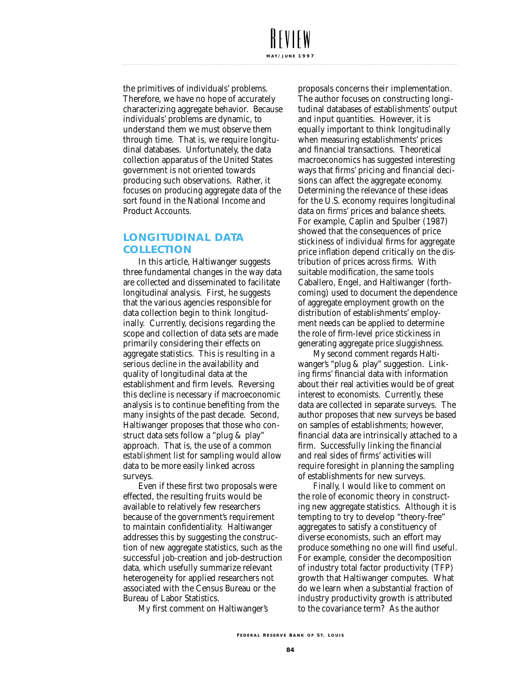#### the primitives of individuals' problems. Therefore, we have no hope of accurately characterizing aggregate behavior. Because individuals' problems are dynamic, to understand them we must observe them through time. That is, we require longitudinal databases. Unfortunately, the data collection apparatus of the United States government is not oriented towards producing such observations. Rather, it focuses on producing aggregate data of the sort found in the National Income and Product Accounts.

**M AY / JUNE 1997**

## **LONGITUDINAL DATA COLLECTION**

In this article, Haltiwanger suggests three fundamental changes in the way data are collected and disseminated to facilitate longitudinal analysis. First, he suggests that the various agencies responsible for data collection begin to think longitudinally. Currently, decisions regarding the scope and collection of data sets are made primarily considering their effects on aggregate statistics. This is resulting in a serious *decline* in the availability and quality of longitudinal data at the establishment and firm levels. Reversing this decline is necessary if macroeconomic analysis is to continue benefiting from the many insights of the past decade. Second, Haltiwanger proposes that those who construct data sets follow a "plug & play" approach. That is, the use of a common *establishment* list for sampling would allow data to be more easily linked across surveys.

Even if these first two proposals were effected, the resulting fruits would be available to relatively few researchers because of the government's requirement to maintain confidentiality. Haltiwanger addresses this by suggesting the construction of new aggregate statistics, such as the successful job-creation and job-destruction data, which usefully summarize relevant heterogeneity for applied researchers not associated with the Census Bureau or the Bureau of Labor Statistics.

My first comment on Haltiwanger's

proposals concerns their implementation. The author focuses on constructing longitudinal databases of establishments' output and input quantities. However, it is equally important to think longitudinally when measuring establishments' prices and financial transactions. Theoretical macroeconomics has suggested interesting ways that firms' pricing and financial decisions can affect the aggregate economy. Determining the relevance of these ideas for the U.S. economy requires longitudinal data on firms' prices and balance sheets. For example, Caplin and Spulber (1987) showed that the consequences of price stickiness of individual firms for aggregate price inflation depend critically on the distribution of prices across firms. With suitable modification, the same tools Caballero, Engel, and Haltiwanger (forthcoming) used to document the dependence of aggregate employment growth on the distribution of establishments' employment needs can be applied to determine the role of firm-level price stickiness in generating aggregate price sluggishness.

My second comment regards Haltiwanger's "plug & play" suggestion. Linking firms' financial data with information about their real activities would be of great interest to economists. Currently, these data are collected in separate surveys. The author proposes that new surveys be based on samples of establishments; however, financial data are intrinsically attached to a firm. Successfully linking the financial and real sides of firms' activities will require foresight in planning the sampling of establishments for new surveys.

Finally, I would like to comment on the role of economic theory in constructing new aggregate statistics. Although it is tempting to try to develop "theory-free" aggregates to satisfy a constituency of diverse economists, such an effort may produce something no one will find useful. For example, consider the decomposition of industry total factor productivity (TFP) growth that Haltiwanger computes. What do we learn when a substantial fraction of industry productivity growth is attributed to the covariance term? As the author